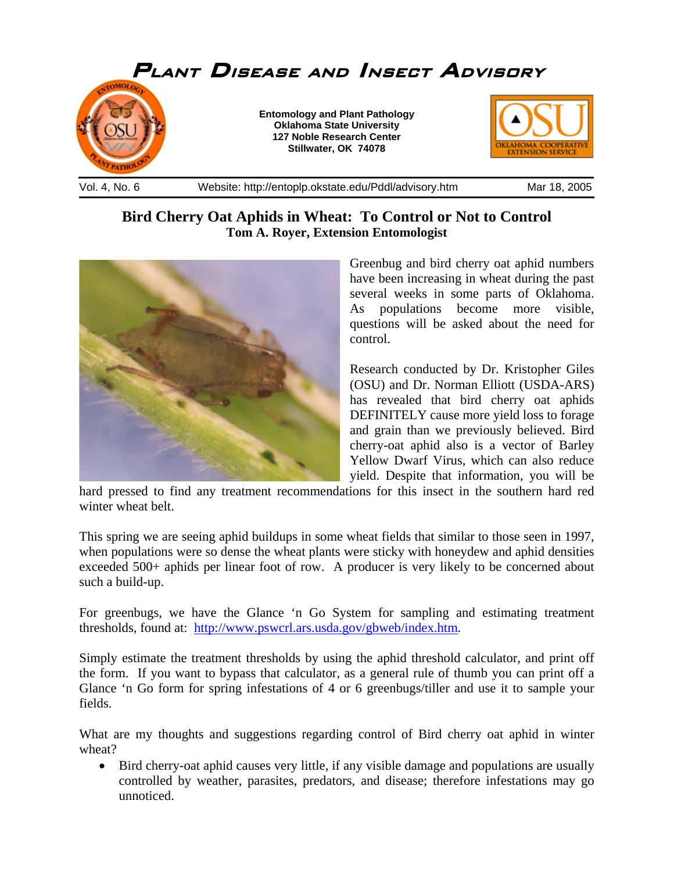

## **Bird Cherry Oat Aphids in Wheat: To Control or Not to Control Tom A. Royer, Extension Entomologist**



Greenbug and bird cherry oat aphid numbers have been increasing in wheat during the past several weeks in some parts of Oklahoma. As populations become more visible, questions will be asked about the need for control.

Research conducted by Dr. Kristopher Giles (OSU) and Dr. Norman Elliott (USDA-ARS) has revealed that bird cherry oat aphids DEFINITELY cause more yield loss to forage and grain than we previously believed. Bird cherry-oat aphid also is a vector of Barley Yellow Dwarf Virus, which can also reduce yield. Despite that information, you will be

hard pressed to find any treatment recommendations for this insect in the southern hard red winter wheat belt.

This spring we are seeing aphid buildups in some wheat fields that similar to those seen in 1997, when populations were so dense the wheat plants were sticky with honeydew and aphid densities exceeded 500+ aphids per linear foot of row. A producer is very likely to be concerned about such a build-up.

For greenbugs, we have the Glance 'n Go System for sampling and estimating treatment thresholds, found at: http://www.pswcrl.ars.usda.gov/gbweb/index.htm.

Simply estimate the treatment thresholds by using the aphid threshold calculator, and print off the form. If you want to bypass that calculator, as a general rule of thumb you can print off a Glance 'n Go form for spring infestations of 4 or 6 greenbugs/tiller and use it to sample your fields.

What are my thoughts and suggestions regarding control of Bird cherry oat aphid in winter wheat?

• Bird cherry-oat aphid causes very little, if any visible damage and populations are usually controlled by weather, parasites, predators, and disease; therefore infestations may go unnoticed.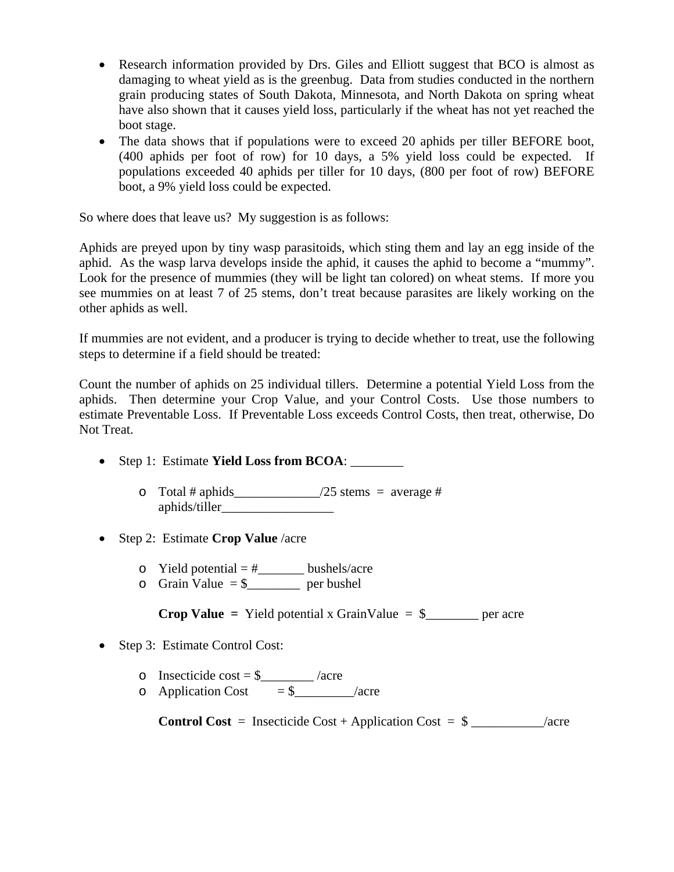- Research information provided by Drs. Giles and Elliott suggest that BCO is almost as damaging to wheat yield as is the greenbug. Data from studies conducted in the northern grain producing states of South Dakota, Minnesota, and North Dakota on spring wheat have also shown that it causes yield loss, particularly if the wheat has not yet reached the boot stage.
- The data shows that if populations were to exceed 20 aphids per tiller BEFORE boot, (400 aphids per foot of row) for 10 days, a 5% yield loss could be expected. If populations exceeded 40 aphids per tiller for 10 days, (800 per foot of row) BEFORE boot, a 9% yield loss could be expected.

So where does that leave us? My suggestion is as follows:

Aphids are preyed upon by tiny wasp parasitoids, which sting them and lay an egg inside of the aphid. As the wasp larva develops inside the aphid, it causes the aphid to become a "mummy". Look for the presence of mummies (they will be light tan colored) on wheat stems. If more you see mummies on at least 7 of 25 stems, don't treat because parasites are likely working on the other aphids as well.

If mummies are not evident, and a producer is trying to decide whether to treat, use the following steps to determine if a field should be treated:

Count the number of aphids on 25 individual tillers. Determine a potential Yield Loss from the aphids. Then determine your Crop Value, and your Control Costs. Use those numbers to estimate Preventable Loss. If Preventable Loss exceeds Control Costs, then treat, otherwise, Do Not Treat.

- Step 1: Estimate **Yield Loss from BCOA**:
	- $\circ$  Total # aphids \_\_\_\_\_\_\_\_\_\_\_\_\_\_\_/25 stems = average # aphids/tiller\_\_\_\_\_\_\_\_\_\_\_\_\_\_\_\_\_
- Step 2: Estimate **Crop Value** /acre
	- $\circ$  Yield potential = #\_\_\_\_\_\_\_\_ bushels/acre
	- $\circ$  Grain Value = \$\_\_\_\_\_\_\_ per bushel

**Crop Value =** Yield potential x GrainValue =  $\frac{1}{2}$  per acre

- Step 3: Estimate Control Cost:
	- o Insecticide cost =  $\frac{1}{2}$  /acre
	- o Application Cost  $= $$  \_\_\_\_\_\_\_\_\_/acre

**Control Cost** = Insecticide Cost + Application Cost =  $\frac{1}{2}$  \_\_\_\_\_\_\_\_\_\_\_\_\_/acre